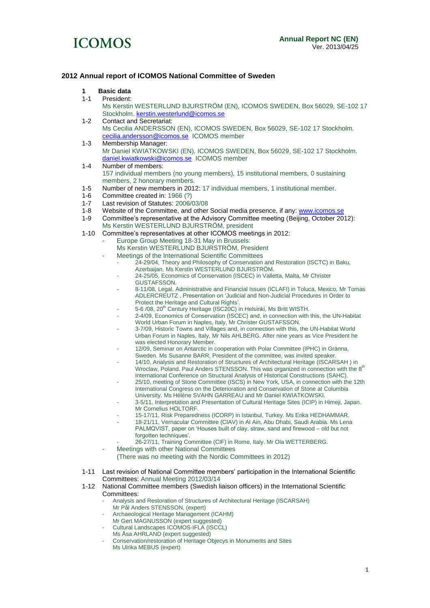

#### **2012 Annual report of ICOMOS National Committee of Sweden**

- **1 Basic data**
- President:
	- Ms Kerstin WESTERLUND BJURSTRÖM (EN), ICOMOS SWEDEN, Box 56029, SE-102 17 Stockholm[. kerstin.westerlund@icomos.se](mailto:kerstin.westerlund@icomos.se)
- 1-2 Contact and Secretariat: Ms Cecilia ANDERSSON (EN), ICOMOS SWEDEN, Box 56029, SE-102 17 Stockholm. [cecilia.andersson@icomos.se](mailto:cecilia.andersson@icomos.se) ICOMOS member
- 1-3 Membership Manager: Mr Daniel KWIATKOWSKI (EN), ICOMOS SWEDEN, Box 56029, SE-102 17 Stockholm. [daniel.kwiatkowski@icomos.se](mailto:daniel.kwiatkowski@icomos.se) ICOMOS member
- 1-4 Number of members: 157 individual members (no young members), 15 institutional members, 0 sustaining members, 2 honorary members.
- 1-5 Number of new members in 2012: 17 individual members, 1 institutional member.
- 1-6 Committee created in: 1966 (?)<br>1-7 Last revision of Statutes: 2006/
- Last revision of Statutes: 2006/03/08
- 1-8 Website of the Committee, and other Social media presence, if any: [www.icomos.se](http://www.icomos.se/)<br>1-9 Committee's representative at the Advisory Committee meeting (Beiling, October 20
- Committee's representative at the Advisory Committee meeting (Beijing, October 2012): Ms Kerstin WESTERLUND BJURSTRÖM, president
- 1-10 Committee's representatives at other ICOMOS meetings in 2012:
	- Europe Group Meeting 18-31 May in Brussels:
		- Ms Kerstin WESTERLUND BJURSTRÖM, President
	- Meetings of the International Scientific Committees
		- 24-29/04, Theory and Philosophy of Conservation and Restoration (ISCTC) in Baku, Azerbaijan, Ms Kerstin WESTERLUND BJURSTRÖM.
		- 24-25/05, Economics of Conservation (ISCEC) in Valletta, Malta, Mr Christer GUSTAFSSON.
		- 8-11/08, Legal, Administrative and Financial Issues (ICLAFI) in Toluca, Mexico, Mr Tomas ADLERCREUTZ , Presentation on 'Judicial and Non-Judicial Procedures in Order to Protect the Heritage and Cultural Rights'.
		- 5-6 /08, 20<sup>th</sup> Century Heritage (ISC20C) in Helsinki, Ms Britt WISTH.
		- 2-4/09, Economics of Conservation (ISCEC) and, in connection with this, the UN-Habitat World Urban Forum in Naples, Italy, Mr Christer GUSTAFSSON.
		- 3-7/09, Historic Towns and Villages and, in connection with this, the UN-Habitat World Urban Forum in Naples, Italy, Mr Nils AHLBERG. After nine years as Vice President he was elected Honorary Member.
		- 12/09, Seminar on Antarctic in cooperation with Polar Committee (IPHC) in Gränna, Sweden. Ms Susanne BARR, President of the committee, was invited speaker.
		- 14/10, Analysis and Restoration of Structures of Architectural Heritage (ISCARSAH) in Wroclaw, Poland. Paul Anders STENSSON. This was organized in connection with the  $8<sup>th</sup>$ International Conference on Structural Analysis of Historical Constructions (SAHC).
		- 25/10, meeting of Stone Committee (ISCS) in New York, USA, in connection with the 12th International Congress on the Deterioration and Conservation of Stone at Columbia University. Ms Hélène SVAHN GARREAU and Mr Daniel KWIATKOWSKI.
		- 3-5/11, Interpretation and Presentation of Cultural Heritage Sites (ICIP) in Himeji, Japan. Mr Cornelius HOLTORF.
		- 15-17/11, Risk Preparedness (ICORP) in Istanbul, Turkey. Ms Erika HEDHAMMAR.
			- 18-21/11, Vernacular Committee (CIAV) in Al Ain, Abu Dhabi, Saudi Arabia. Ms Lena PALMQVIST, paper on 'Houses built of clay, straw, sand and firewood – old but not forgotten techniques'.
		- 26-27/11, Training Committee (CIF) in Rome, Italy. Mr Ola WETTERBERG.
		- Meetings with other National Committees
			- (There was no meeting with the Nordic Committees in 2012)
- 1-11 Last revision of National Committee members' participation in the International Scientific Committees: Annual Meeting 2012/03/14
- 1-12 National Committee members (Swedish liaison officers) in the International Scientific Committees:
	- Analysis and Restoration of Structures of Architectural Heritage (ISCARSAH)
		- Mr Pål Anders STENSSON, (expert)
	- Archaeological Heritage Management (ICAHM)
	- Mr Gert MAGNUSSON (expert suggested)
	- Cultural Landscapes ICOMOS-IFLA (ISCCL)
	- Ms Åsa AHRLAND (expert suggested)
	- Conservation/restoration of Heritage Objecys in Monuments and Sites Ms Ulrika MEBUS (expert)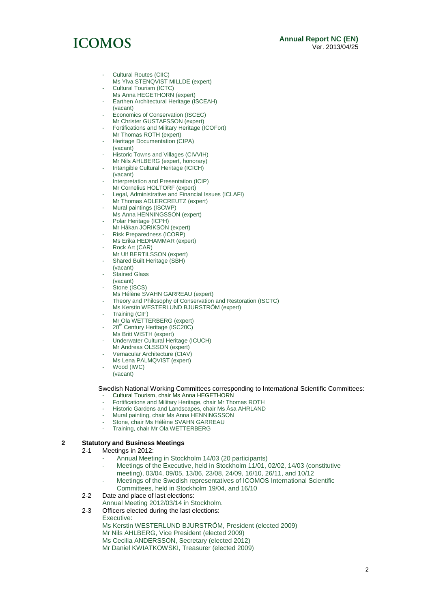#### **Annual Report NC (EN)** Ver. 2013/04/25

# **ICOMOS**

- Cultural Routes (CIIC) Ms Ylva STENQVIST MILLDE (expert) Cultural Tourism (ICTC)
- Ms Anna HEGETHORN (expert) Earthen Architectural Heritage (ISCEAH)
- (vacant) Economics of Conservation (ISCEC) Mr Christer GUSTAFSSON (expert)
- Fortifications and Military Heritage (ICOFort)
- Mr Thomas ROTH (expert) Heritage Documentation (CIPA) (vacant)
- Historic Towns and Villages (CIVVIH)
- Mr Nils AHLBERG (expert, honorary)
- Intangible Cultural Heritage (ICICH) (vacant)
- Interpretation and Presentation (ICIP) Mr Cornelius HOLTORF (expert)
- Legal, Administrative and Financial Issues (ICLAFI) Mr Thomas ADLERCREUTZ (expert)
- Mural paintings (ISCWP)
- Ms Anna HENNINGSSON (expert)
- Polar Heritage (ICPH)
- Mr Håkan JORIKSON (expert)
- Risk Preparedness (ICORP) Ms Erika HEDHAMMAR (expert)
- Rock Art (CAR)
- Mr Ulf BERTILSSON (expert)
- Shared Built Heritage (SBH)
- (vacant)
- Stained Glass
- (vacant)
- Stone (ISCS)
- Ms Hélène SVAHN GARREAU (expert)
- Theory and Philosophy of Conservation and Restoration (ISCTC)
- Ms Kerstin WESTERLUND BJURSTRÖM (expert)
- Training (CIF)
- Mr Ola WETTERBERG (expert)
- 20<sup>th</sup> Century Heritage (ISC20C)
- Ms Britt WISTH (expert)
- Underwater Cultural Heritage (ICUCH) Mr Andreas OLSSON (expert)
- Vernacular Architecture (CIAV)
- Ms Lena PALMQVIST (expert)
- Wood (IWC) (vacant)

Swedish National Working Committees corresponding to International Scientific Committees:

- Cultural Tourism, chair Ms Anna HEGETHORN
- Fortifications and Military Heritage, chair Mr Thomas ROTH
- Historic Gardens and Landscapes, chair Ms Åsa AHRLAND
- Mural painting, chair Ms Anna HENNINGSSON
- Stone, chair Ms Hélène SVAHN GARREAU
- Training, chair Mr Ola WETTERBERG

#### **2 Statutory and Business Meetings**

- 2-1 Meetings in 2012:
	- Annual Meeting in Stockholm 14/03 (20 participants)
	- Meetings of the Executive, held in Stockholm 11/01, 02/02, 14/03 (constitutive meeting), 03/04, 09/05, 13/06, 23/08, 24/09, 16/10, 26/11, and 10/12
	- Meetings of the Swedish representatives of ICOMOS International Scientific Committees, held in Stockholm 19/04, and 16/10
- 2-2 Date and place of last elections:
- Annual Meeting 2012/03/14 in Stockholm.
- 2-3 Officers elected during the last elections:

Executive:

Ms Kerstin WESTERLUND BJURSTRÖM, President (elected 2009) Mr Nils AHLBERG, Vice President (elected 2009) Ms Cecilia ANDERSSON, Secretary (elected 2012) Mr Daniel KWIATKOWSKI, Treasurer (elected 2009)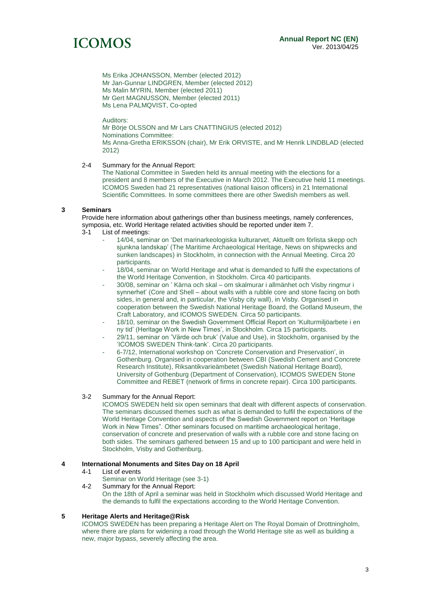## **ICOMOS**

Ms Erika JOHANSSON, Member (elected 2012) Mr Jan-Gunnar LINDGREN, Member (elected 2012) Ms Malin MYRIN, Member (elected 2011) Mr Gert MAGNUSSON, Member (elected 2011) Ms Lena PALMQVIST, Co-opted

Auditors: Mr Börje OLSSON and Mr Lars CNATTINGIUS (elected 2012) Nominations Committee: Ms Anna-Gretha ERIKSSON (chair), Mr Erik ORVISTE, and Mr Henrik LINDBLAD (elected 2012)

#### 2-4 Summary for the Annual Report:

The National Committee in Sweden held its annual meeting with the elections for a president and 8 members of the Executive in March 2012. The Executive held 11 meetings. ICOMOS Sweden had 21 representatives (national liaison officers) in 21 International Scientific Committees. In some committees there are other Swedish members as well.

#### **3 Seminars**

Provide here information about gatherings other than business meetings, namely conferences, symposia, etc. World Heritage related activities should be reported under item 7.<br>3-1 list of meetings:

- List of meetings:
	- 14/04, seminar on 'Det marinarkeologiska kulturarvet, Aktuellt om förlista skepp och sjunkna landskap' (The Maritime Archaeological Heritage, News on shipwrecks and sunken landscapes) in Stockholm, in connection with the Annual Meeting. Circa 20 participants.
	- 18/04, seminar on 'World Heritage and what is demanded to fulfil the expectations of the World Heritage Convention, in Stockholm. Circa 40 participants.
	- 30/08, seminar on ' Kärna och skal om skalmurar i allmänhet och Visby ringmur i synnerhet' (Core and Shell – about walls with a rubble core and stone facing on both sides, in general and, in particular, the Visby city wall), in Visby. Organised in cooperation between the Swedish National Heritage Board, the Gotland Museum, the Craft Laboratory, and ICOMOS SWEDEN. Circa 50 participants.
	- 18/10, seminar on the Swedish Government Official Report on 'Kulturmiljöarbete i en ny tid' (Heritage Work in New Times', in Stockholm. Circa 15 participants.
	- 29/11, seminar on 'Värde och bruk' (Value and Use), in Stockholm, organised by the 'ICOMOS SWEDEN Think-tank'. Circa 20 participants.
	- 6-7/12, International workshop on 'Concrete Conservation and Preservation', in Gothenburg. Organised in cooperation between CBI (Swedish Cement and Concrete Research Institute), Riksantikvarieämbetet (Swedish National Heritage Board), University of Gothenburg (Department of Conservation), ICOMOS SWEDEN Stone Committee and REBET (network of firms in concrete repair). Circa 100 participants.

#### 3-2 Summary for the Annual Report:

ICOMOS SWEDEN held six open seminars that dealt with different aspects of conservation. The seminars discussed themes such as what is demanded to fulfil the expectations of the World Heritage Convention and aspects of the Swedish Government report on 'Heritage Work in New Times". Other seminars focused on maritime archaeological heritage, conservation of concrete and preservation of walls with a rubble core and stone facing on both sides. The seminars gathered between 15 and up to 100 participant and were held in Stockholm, Visby and Gothenburg.

#### **4 International Monuments and Sites Day on 18 April**

- 4-1 List of events
	- Seminar on World Heritage (see 3-1)
- 4-2 Summary for the Annual Report: On the 18th of April a seminar was held in Stockholm which discussed World Heritage and the demands to fulfil the expectations according to the World Heritage Convention.

#### **5 Heritage Alerts and Heritage@Risk**

ICOMOS SWEDEN has been preparing a Heritage Alert on The Royal Domain of Drottningholm, where there are plans for widening a road through the World Heritage site as well as building a new, major bypass, severely affecting the area.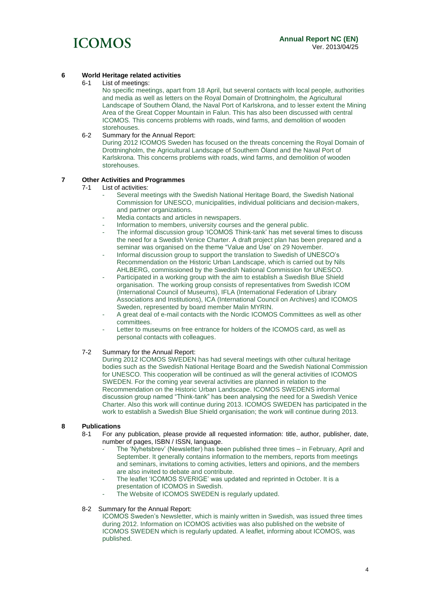

### **6 World Heritage related activities**

List of meetings:

No specific meetings, apart from 18 April, but several contacts with local people, authorities and media as well as letters on the Royal Domain of Drottningholm, the Agricultural Landscape of Southern Öland, the Naval Port of Karlskrona, and to lesser extent the Mining Area of the Great Copper Mountain in Falun. This has also been discussed with central ICOMOS. This concerns problems with roads, wind farms, and demolition of wooden storehouses.

#### 6-2 Summary for the Annual Report:

During 2012 ICOMOS Sweden has focused on the threats concerning the Royal Domain of Drottningholm, the Agricultural Landscape of Southern Öland and the Naval Port of Karlskrona. This concerns problems with roads, wind farms, and demolition of wooden storehouses.

#### **7 Other Activities and Programmes**

#### 7-1 List of activities:

- Several meetings with the Swedish National Heritage Board, the Swedish National Commission for UNESCO, municipalities, individual politicians and decision-makers, and partner organizations.
- Media contacts and articles in newspapers.
- Information to members, university courses and the general public.
- The informal discussion group 'ICOMOS Think-tank' has met several times to discuss the need for a Swedish Venice Charter. A draft project plan has been prepared and a seminar was organised on the theme "Value and Use' on 29 November.
- Informal discussion group to support the translation to Swedish of UNESCO's Recommendation on the Historic Urban Landscape, which is carried out by Nils AHLBERG, commissioned by the Swedish National Commission for UNESCO.
- Participated in a working group with the aim to establish a Swedish Blue Shield organisation. The working group consists of representatives from Swedish ICOM (International Council of Museums), IFLA (International Federation of Library Associations and Institutions), ICA (International Council on Archives) and ICOMOS Sweden, represented by board member Malin MYRIN.
- A great deal of e-mail contacts with the Nordic ICOMOS Committees as well as other committees.
- Letter to museums on free entrance for holders of the ICOMOS card, as well as personal contacts with colleagues.

#### 7-2 Summary for the Annual Report:

During 2012 ICOMOS SWEDEN has had several meetings with other cultural heritage bodies such as the Swedish National Heritage Board and the Swedish National Commission for UNESCO. This cooperation will be continued as will the general activities of ICOMOS SWEDEN. For the coming year several activities are planned in relation to the Recommendation on the Historic Urban Landscape. ICOMOS SWEDENS informal discussion group named "Think-tank" has been analysing the need for a Swedish Venice Charter. Also this work will continue during 2013. ICOMOS SWEDEN has participated in the work to establish a Swedish Blue Shield organisation; the work will continue during 2013.

#### **8 Publications**

- 8-1 For any publication, please provide all requested information: title, author, publisher, date, number of pages, ISBN / ISSN, language.
	- The 'Nyhetsbrev' (Newsletter) has been published three times in February, April and September. It generally contains information to the members, reports from meetings and seminars, invitations to coming activities, letters and opinions, and the members are also invited to debate and contribute.
	- The leaflet 'ICOMOS SVERIGE' was updated and reprinted in October. It is a presentation of ICOMOS in Swedish.
	- The Website of ICOMOS SWEDEN is regularly updated.

#### 8-2 Summary for the Annual Report:

ICOMOS Sweden's Newsletter, which is mainly written in Swedish, was issued three times during 2012. Information on ICOMOS activities was also published on the website of ICOMOS SWEDEN which is regularly updated. A leaflet, informing about ICOMOS, was published.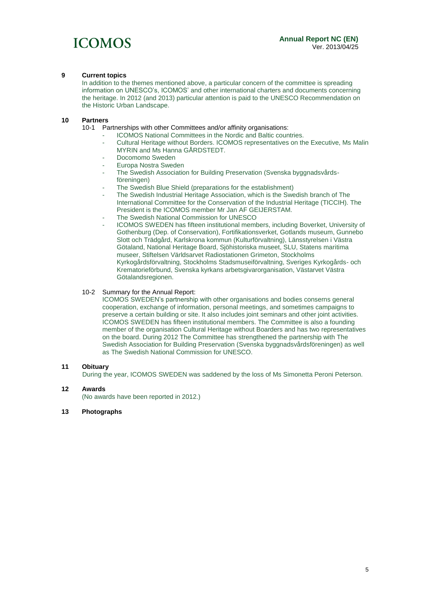

#### **9 Current topics**

In addition to the themes mentioned above, a particular concern of the committee is spreading information on UNESCO's, ICOMOS' and other international charters and documents concerning the heritage. In 2012 (and 2013) particular attention is paid to the UNESCO Recommendation on the Historic Urban Landscape.

## **10 Partners**

Partnerships with other Committees and/or affinity organisations:

- ICOMOS National Committees in the Nordic and Baltic countries.
- Cultural Heritage without Borders. ICOMOS representatives on the Executive, Ms Malin MYRIN and Ms Hanna GÅRDSTEDT.
- Docomomo Sweden
- Europa Nostra Sweden
- The Swedish Association for Building Preservation (Svenska byggnadsvårdsföreningen)
- The Swedish Blue Shield (preparations for the establishment)
- The Swedish Industrial Heritage Association, which is the Swedish branch of The International Committee for the Conservation of the Industrial Heritage (TICCIH). The President is the ICOMOS member Mr Jan AF GEIJERSTAM.
- The Swedish National Commission for UNESCO
- ICOMOS SWEDEN has fifteen institutional members, including Boverket, University of Gothenburg (Dep. of Conservation), Fortifikationsverket, Gotlands museum, Gunnebo Slott och Trädgård, Karlskrona kommun (Kulturförvaltning), Länsstyrelsen i Västra Götaland, National Heritage Board, Sjöhistoriska museet, SLU, Statens maritima museer, Stiftelsen Världsarvet Radiostationen Grimeton, Stockholms Kyrkogårdsförvaltning, Stockholms Stadsmuseiförvaltning, Sveriges Kyrkogårds- och Krematorieförbund, Svenska kyrkans arbetsgivarorganisation, Västarvet Västra Götalandsregionen.

#### 10-2 Summary for the Annual Report:

ICOMOS SWEDEN's partnership with other organisations and bodies conserns general cooperation, exchange of information, personal meetings, and sometimes campaigns to preserve a certain building or site. It also includes joint seminars and other joint activities. ICOMOS SWEDEN has fifteen institutional members. The Committee is also a founding member of the organisation Cultural Heritage without Boarders and has two representatives on the board. During 2012 The Committee has strengthened the partnership with The Swedish Association for Building Preservation (Svenska byggnadsvårdsföreningen) as well as The Swedish National Commission for UNESCO.

#### **11 Obituary**

During the year, ICOMOS SWEDEN was saddened by the loss of Ms Simonetta Peroni Peterson.

### **12 Awards**

(No awards have been reported in 2012.)

**13 Photographs**